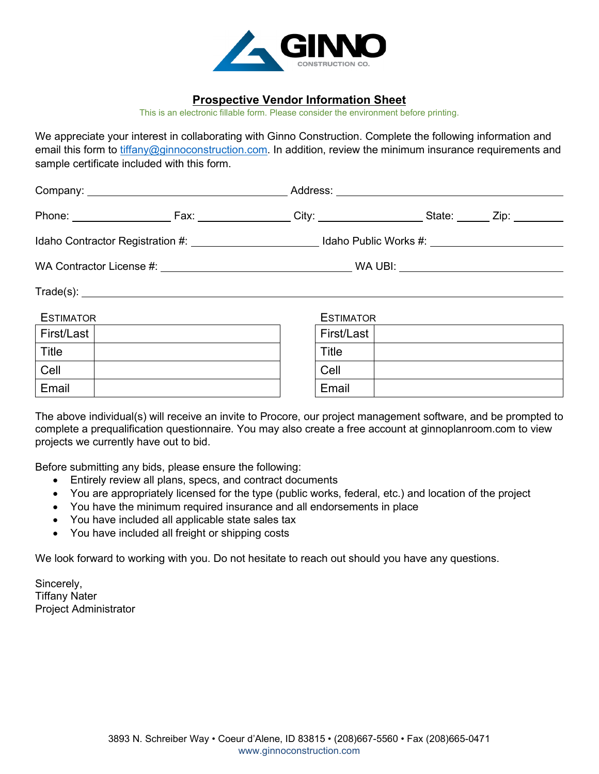

## **Prospective Vendor Information Sheet**

This is an electronic fillable form. Please consider the environment before printing.

We appreciate your interest in collaborating with Ginno Construction. Complete the following information and email this form to [tiffany@ginnoconstruction.com.](mailto:tiffany@ginnoconstruction.com) In addition, review the minimum insurance requirements and sample certificate included with this form.

|                  | Idaho Contractor Registration #: __________________________Idaho Public Works #: __________________ |  |  |  |  |  |  |
|------------------|-----------------------------------------------------------------------------------------------------|--|--|--|--|--|--|
|                  |                                                                                                     |  |  |  |  |  |  |
|                  |                                                                                                     |  |  |  |  |  |  |
| <b>ESTIMATOR</b> | <b>ESTIMATOR</b>                                                                                    |  |  |  |  |  |  |
| First/Last       | First/Last                                                                                          |  |  |  |  |  |  |
| Title            | Title                                                                                               |  |  |  |  |  |  |
| Cell             | Cell                                                                                                |  |  |  |  |  |  |
| Email            | Email                                                                                               |  |  |  |  |  |  |

The above individual(s) will receive an invite to Procore, our project management software, and be prompted to complete a prequalification questionnaire. You may also create a free account at ginnoplanroom.com to view projects we currently have out to bid.

Before submitting any bids, please ensure the following:

- Entirely review all plans, specs, and contract documents
- You are appropriately licensed for the type (public works, federal, etc.) and location of the project
- You have the minimum required insurance and all endorsements in place
- You have included all applicable state sales tax
- You have included all freight or shipping costs

We look forward to working with you. Do not hesitate to reach out should you have any questions.

Sincerely, Tiffany Nater Project Administrator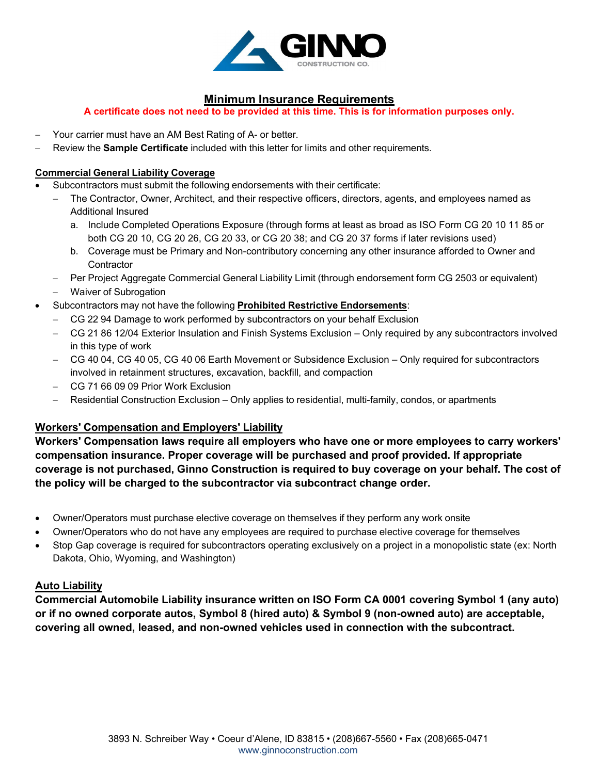

# **Minimum Insurance Requirements**

**A certificate does not need to be provided at this time. This is for information purposes only.**

- − Your carrier must have an AM Best Rating of A- or better.
- − Review the **Sample Certificate** included with this letter for limits and other requirements.

#### **Commercial General Liability Coverage**

- Subcontractors must submit the following endorsements with their certificate:
	- The Contractor, Owner, Architect, and their respective officers, directors, agents, and employees named as Additional Insured
		- a. Include Completed Operations Exposure (through forms at least as broad as ISO Form CG 20 10 11 85 or both CG 20 10, CG 20 26, CG 20 33, or CG 20 38; and CG 20 37 forms if later revisions used)
		- b. Coverage must be Primary and Non-contributory concerning any other insurance afforded to Owner and **Contractor**
	- − Per Project Aggregate Commercial General Liability Limit (through endorsement form CG 2503 or equivalent)
	- − Waiver of Subrogation
- Subcontractors may not have the following **Prohibited Restrictive Endorsements**:
	- − CG 22 94 Damage to work performed by subcontractors on your behalf Exclusion
	- − CG 21 86 12/04 Exterior Insulation and Finish Systems Exclusion Only required by any subcontractors involved in this type of work
	- − CG 40 04, CG 40 05, CG 40 06 Earth Movement or Subsidence Exclusion Only required for subcontractors involved in retainment structures, excavation, backfill, and compaction
	- − CG 71 66 09 09 Prior Work Exclusion
	- − Residential Construction Exclusion Only applies to residential, multi-family, condos, or apartments

# **Workers' Compensation and Employers' Liability**

**Workers' Compensation laws require all employers who have one or more employees to carry workers' compensation insurance. Proper coverage will be purchased and proof provided. If appropriate coverage is not purchased, Ginno Construction is required to buy coverage on your behalf. The cost of the policy will be charged to the subcontractor via subcontract change order.**

- Owner/Operators must purchase elective coverage on themselves if they perform any work onsite
- Owner/Operators who do not have any employees are required to purchase elective coverage for themselves
- Stop Gap coverage is required for subcontractors operating exclusively on a project in a monopolistic state (ex: North Dakota, Ohio, Wyoming, and Washington)

### **Auto Liability**

**Commercial Automobile Liability insurance written on ISO Form CA 0001 covering Symbol 1 (any auto) or if no owned corporate autos, Symbol 8 (hired auto) & Symbol 9 (non-owned auto) are acceptable, covering all owned, leased, and non-owned vehicles used in connection with the subcontract.**